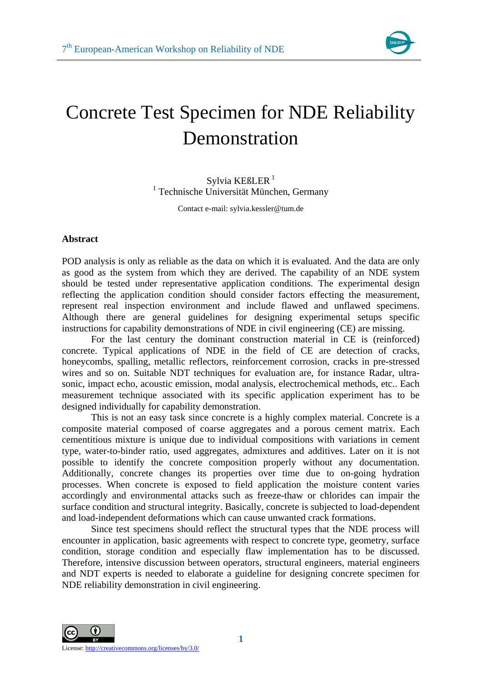

## Concrete Test Specimen for NDE Reliability Demonstration

Sylvia KE $B$ LER<sup>1</sup> 1 Technische Universität München, Germany

Contact e-mail: sylvia.kessler@tum.de

## **Abstract**

POD analysis is only as reliable as the data on which it is evaluated. And the data are only as good as the system from which they are derived. The capability of an NDE system should be tested under representative application conditions. The experimental design reflecting the application condition should consider factors effecting the measurement, represent real inspection environment and include flawed and unflawed specimens. Although there are general guidelines for designing experimental setups specific instructions for capability demonstrations of NDE in civil engineering (CE) are missing.

 For the last century the dominant construction material in CE is (reinforced) concrete. Typical applications of NDE in the field of CE are detection of cracks, honeycombs, spalling, metallic reflectors, reinforcement corrosion, cracks in pre-stressed wires and so on. Suitable NDT techniques for evaluation are, for instance Radar, ultrasonic, impact echo, acoustic emission, modal analysis, electrochemical methods, etc.. Each measurement technique associated with its specific application experiment has to be designed individually for capability demonstration.

 This is not an easy task since concrete is a highly complex material. Concrete is a composite material composed of coarse aggregates and a porous cement matrix. Each cementitious mixture is unique due to individual compositions with variations in cement type, water-to-binder ratio, used aggregates, admixtures and additives. Later on it is not possible to identify the concrete composition properly without any documentation. Additionally, concrete changes its properties over time due to on-going hydration processes. When concrete is exposed to field application the moisture content varies accordingly and environmental attacks such as freeze-thaw or chlorides can impair the surface condition and structural integrity. Basically, concrete is subjected to load-dependent and load-independent deformations which can cause unwanted crack formations.

 Since test specimens should reflect the structural types that the NDE process will encounter in application, basic agreements with respect to concrete type, geometry, surface condition, storage condition and especially flaw implementation has to be discussed. Therefore, intensive discussion between operators, structural engineers, material engineers and NDT experts is needed to elaborate a guideline for designing concrete specimen for NDE reliability demonstration in civil engineering.

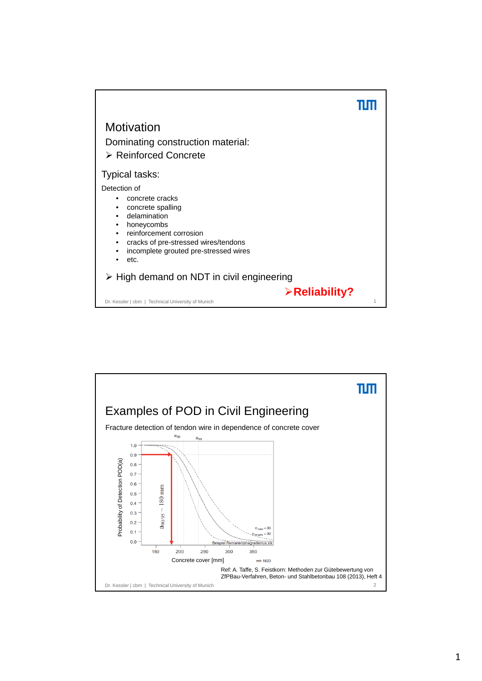

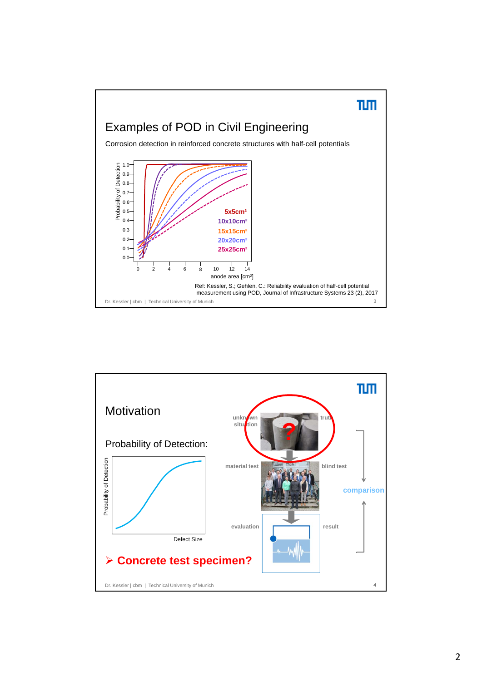

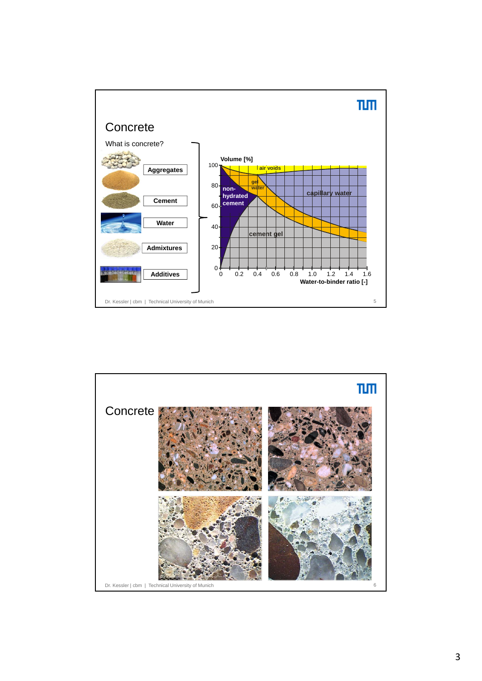

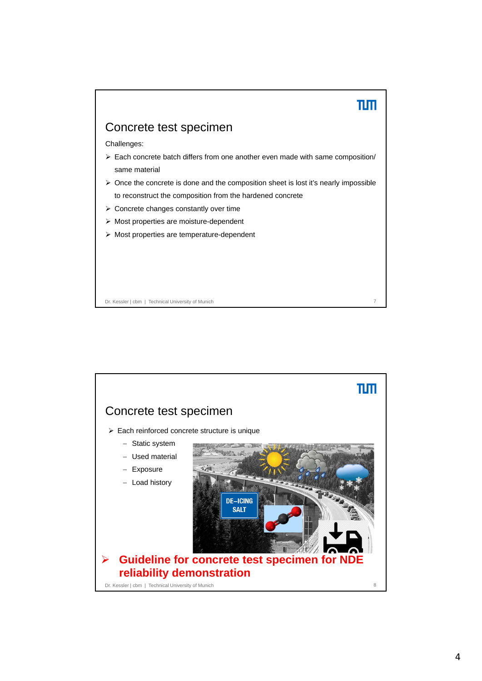

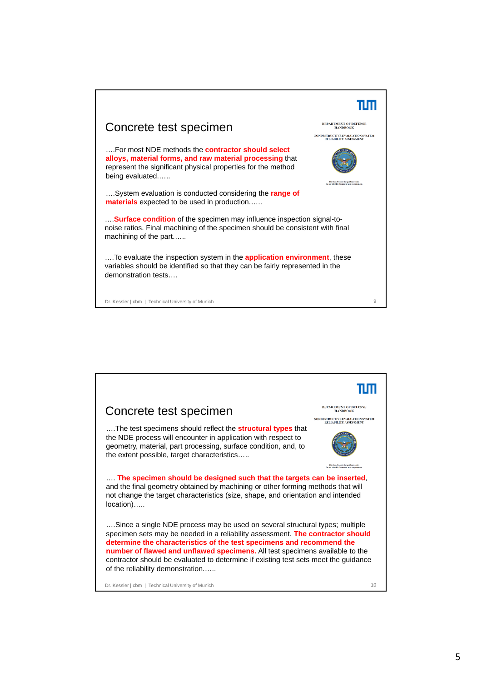![](_page_5_Picture_0.jpeg)

![](_page_5_Picture_1.jpeg)